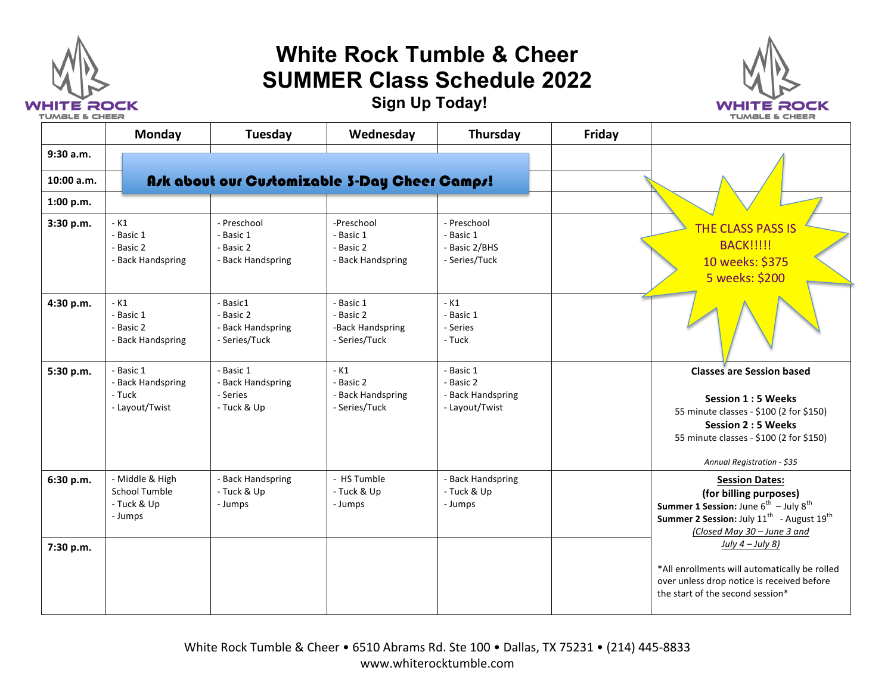

## **White Rock Tumble & Cheer SUMMER Class Schedule 2022**



**Sign Up Today!**

|            | Monday                                                            | Tuesday                                                     | Wednesday                                                   | Thursday                                                      | Friday |                                                                                                                                                                                                               |
|------------|-------------------------------------------------------------------|-------------------------------------------------------------|-------------------------------------------------------------|---------------------------------------------------------------|--------|---------------------------------------------------------------------------------------------------------------------------------------------------------------------------------------------------------------|
| 9:30 a.m.  |                                                                   |                                                             |                                                             |                                                               |        |                                                                                                                                                                                                               |
| 10:00 a.m. |                                                                   |                                                             | Ask about our Customizable 3-Day Cheer Camps!               |                                                               |        |                                                                                                                                                                                                               |
| 1:00 p.m.  |                                                                   |                                                             |                                                             |                                                               |        |                                                                                                                                                                                                               |
| 3:30 p.m.  | $-K1$<br>- Basic 1<br>- Basic 2<br>- Back Handspring              | - Preschool<br>- Basic 1<br>- Basic 2<br>- Back Handspring  | -Preschool<br>- Basic 1<br>- Basic 2<br>- Back Handspring   | - Preschool<br>- Basic 1<br>- Basic 2/BHS<br>- Series/Tuck    |        | <b>THE CLASS PASS IS</b><br><b>BACK!!!!!!</b><br>10 weeks: \$375<br>5 weeks: \$200                                                                                                                            |
| 4:30 p.m.  | $-K1$<br>- Basic 1<br>- Basic 2<br>- Back Handspring              | - Basic1<br>- Basic 2<br>- Back Handspring<br>- Series/Tuck | - Basic 1<br>- Basic 2<br>-Back Handspring<br>- Series/Tuck | $-K1$<br>- Basic 1<br>- Series<br>- Tuck                      |        |                                                                                                                                                                                                               |
| 5:30 p.m.  | - Basic 1<br>- Back Handspring<br>- Tuck<br>- Layout/Twist        | - Basic 1<br>- Back Handspring<br>- Series<br>- Tuck & Up   | $-K1$<br>- Basic 2<br>- Back Handspring<br>- Series/Tuck    | - Basic 1<br>- Basic 2<br>- Back Handspring<br>- Layout/Twist |        | <b>Classes are Session based</b><br><b>Session 1:5 Weeks</b><br>55 minute classes - \$100 (2 for \$150)<br><b>Session 2:5 Weeks</b><br>55 minute classes - \$100 (2 for \$150)<br>Annual Registration - \$35  |
| 6:30 p.m.  | - Middle & High<br><b>School Tumble</b><br>- Tuck & Up<br>- Jumps | - Back Handspring<br>- Tuck & Up<br>- Jumps                 | - HS Tumble<br>- Tuck & Up<br>- Jumps                       | - Back Handspring<br>- Tuck & Up<br>- Jumps                   |        | <b>Session Dates:</b><br>(for billing purposes)<br><b>Summer 1 Session:</b> June $6^{th}$ – July $8^{th}$<br>Summer 2 Session: July 11 <sup>th</sup> - August 19 <sup>th</sup><br>(Closed May 30 - June 3 and |
| 7:30 p.m.  |                                                                   |                                                             |                                                             |                                                               |        | July $4$ – July 8)<br>*All enrollments will automatically be rolled<br>over unless drop notice is received before<br>the start of the second session*                                                         |